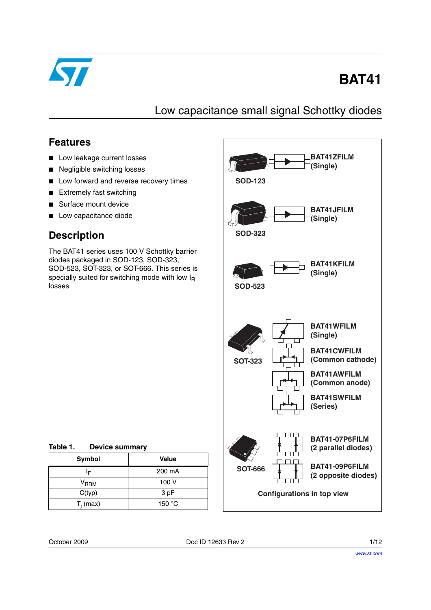

# **BAT41**

Low capacitance small signal Schottky diodes

### **Features**

- Low leakage current losses
- Negligible switching losses
- Low forward and reverse recovery times
- Extremely fast switching
- Surface mount device
- Low capacitance diode

## **Description**

The BAT41 series uses 100 V Schottky barrier diodes packaged in SOD-123, SOD-323, SOD-523, SOT-323, or SOT-666. This series is specially suited for switching mode with low  $I<sub>R</sub>$ losses



Table 1. **Device summary** 

| Symbol           | Value           |
|------------------|-----------------|
| I⊧               | 200 mA          |
| V <sub>RRM</sub> | 100 V           |
| C(typ)           | 3 pF            |
| $T_i$ (max)      | 150 $\degree$ C |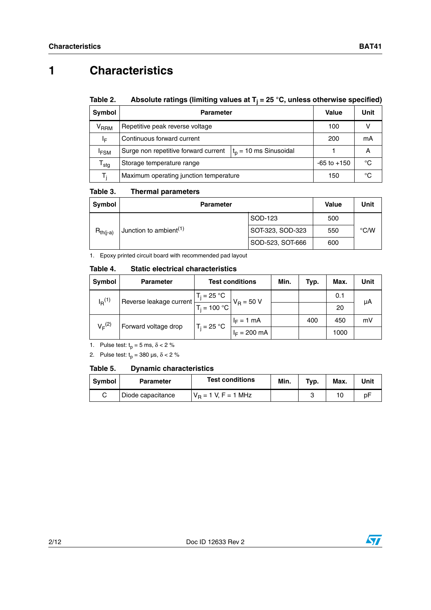## **1 Characteristics**

#### Table 2. **Table 2. Absolute ratings (limiting values at Tj = 25 °C, unless otherwise specified)**

| <b>Symbol</b>          | <b>Parameter</b>                                                 | Value           | Unit |
|------------------------|------------------------------------------------------------------|-----------------|------|
| <b>V<sub>RRM</sub></b> | Repetitive peak reverse voltage                                  | 100             |      |
| ΙF                     | Continuous forward current                                       | 200             | mA   |
| <sup>I</sup> FSM       | $t_0$ = 10 ms Sinusoidal<br>Surge non repetitive forward current |                 | A    |
| $^{\mathsf{T}}$ stg    | Storage temperature range                                        | $-65$ to $+150$ | °C   |
| T.                     | Maximum operating junction temperature                           | 150             | °C   |

#### Table 3. **Thermal parameters**

| Symbol                                              | <b>Parameter</b> |                  |                  | Value         | Unit |
|-----------------------------------------------------|------------------|------------------|------------------|---------------|------|
|                                                     |                  |                  | SOD-123          | 500           |      |
| Junction to ambient <sup>(1)</sup><br>$R_{th(i-a)}$ |                  | SOT-323, SOD-323 | 550              | $\degree$ C/W |      |
|                                                     |                  |                  | SOD-523, SOT-666 | 600           |      |

1. Epoxy printed circuit board with recommended pad layout

#### Table 4. **Static electrical characteristics**

| <b>Symbol</b> | <b>Parameter</b>        | <b>Test conditions</b> |                | Min. | Typ. | Max. | Unit |
|---------------|-------------------------|------------------------|----------------|------|------|------|------|
| $I_{R}^{(1)}$ | Reverse leakage current | $T_i = 25 °C$          | $V_R = 50 V$   |      |      | 0.1  | μA   |
|               | $T_i = 100 °C$          |                        |                |      | 20   |      |      |
| $V_E^{(2)}$   | Forward voltage drop    | $T_i = 25 °C$          | $I_F = 1$ mA   |      | 400  | 450  | mV   |
|               |                         |                        | $I_F = 200$ mA |      |      | 1000 |      |

1. Pulse test:  $t_p = 5$  ms,  $\delta < 2$  %

2. Pulse test:  $t_p = 380 \text{ }\mu\text{s}, \delta < 2 \%$ 

#### Table 5. **Dynamic characteristics**

| Symbol | <b>Parameter</b>  | <b>Test conditions</b> | Min. | Typ. | Max. | Unit |
|--------|-------------------|------------------------|------|------|------|------|
|        | Diode capacitance | $V_B = 1 V, F = 1 MHz$ |      |      |      | b۲   |

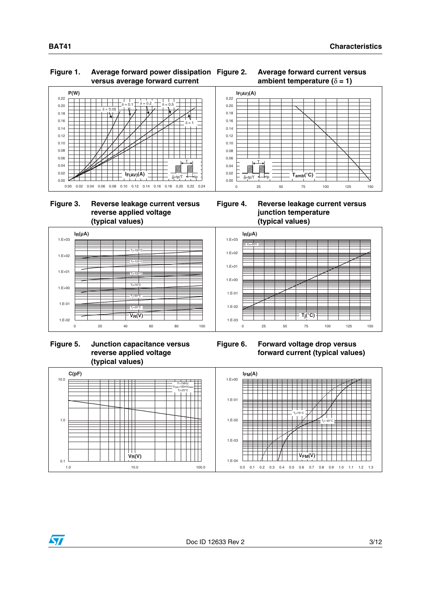### **Figure 1. Average forward power dissipation versus average forward current**





### **Figure 3. Reverse leakage current versus reverse applied voltage (typical values)**



 **Figure 5. Junction capacitance versus reverse applied voltage (typical values)**



0 25 50 75 100 125 150

 $\mathsf{Tamb}({}^{\circ}\mathsf{C})$ 



**Figure 6. Forward voltage drop versus forward current (typical values)**



0.00 0.02  $0.04$ 0.06 0.08 0.10 0.12 0.14 0.16 0.18 0.20 0.22  $I_{F(AV)}(A)$ 

T

 $\delta$ =tp/T  $\leftarrow$ tp

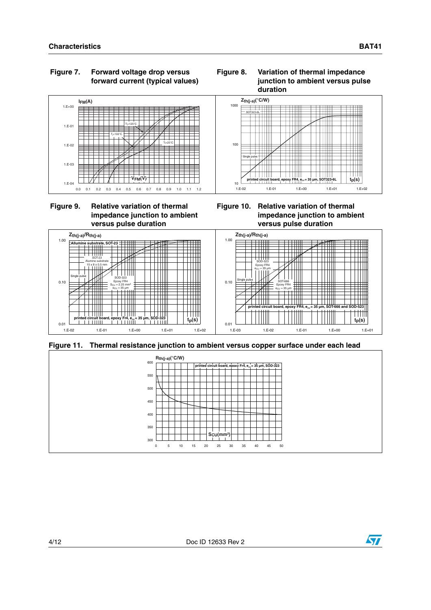### **Figure 7. Forward voltage drop versus forward current (typical values)**





**Figure 9. Relative variation of thermal impedance junction to ambient versus pulse duration**

**Figure 10. Relative variation of thermal impedance junction to ambient versus pulse duration**



**Figure 11. Thermal resistance junction to ambient versus copper surface under each lead**



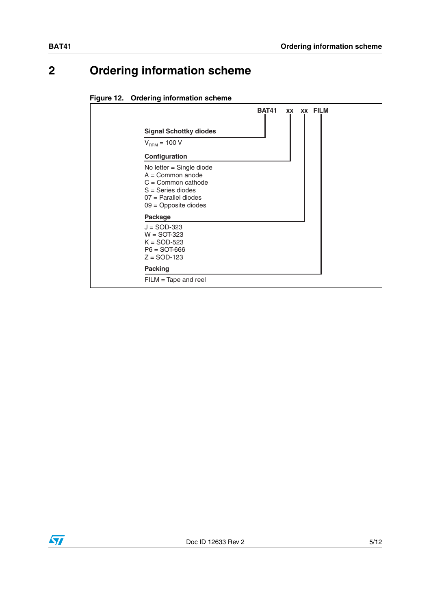## **2 Ordering information scheme**

### **Figure 12. Ordering information scheme**



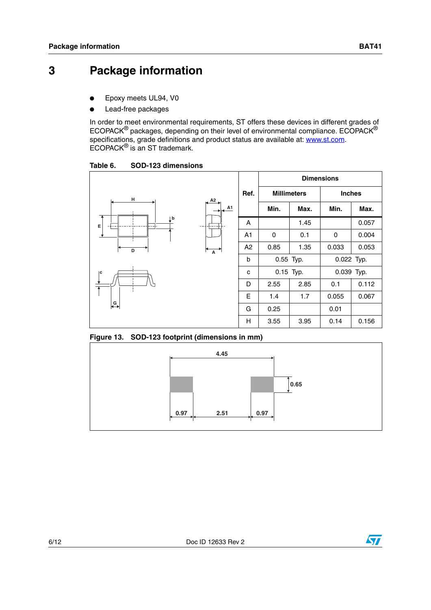## **3 Package information**

- Epoxy meets UL94, V0
- Lead-free packages

In order to meet environmental requirements, ST offers these devices in different grades of ECOPACK® packages, depending on their level of environmental compliance. ECOPACK® specifications, grade definitions and product status are available at: **www.st.com**. ECOPACK® is an ST trademark.

Table 6. **Table 6. SOD-123 dimensions**



**Figure 13. SOD-123 footprint (dimensions in mm)**



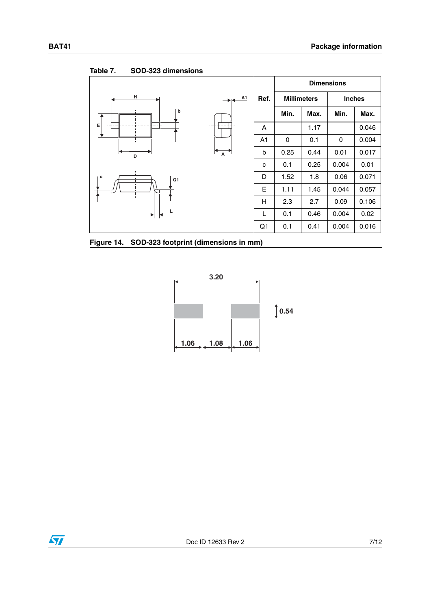**Ref. Dimensions Millimeters Inches Min.** | Max. | Min. | Max. A 1.17 0.046 A1 0 0.1 0 0.004 b  $\vert$  0.25  $\vert$  0.44  $\vert$  0.01  $\vert$  0.017 c 0.1 0.25 0.004 0.01  $D$  1.52 1.8 0.06 0.071  $E$  1.11 1.45 0.044 0.057  $H$  2.3 2.7 0.09 0.106  $L$  0.1 0.46 0.004 0.02  $Q1$  0.1 0.41 0.004 0.016 **H b D E A1 A L c**  $\overline{ }$  **c**  $\overline{ }$  **c**  $\overline{ }$ 







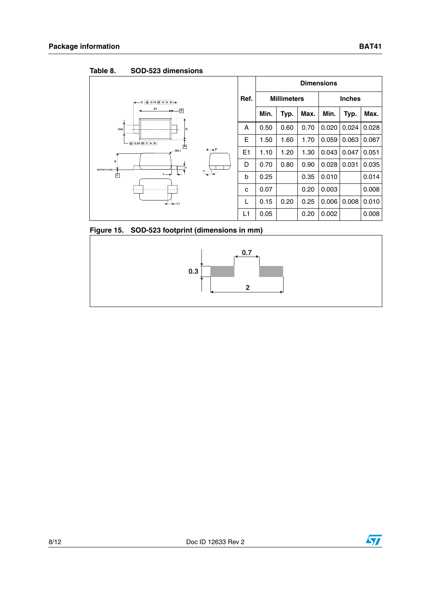| Tanic o.<br>טוטוסווסווווט ט <i>ב</i> ט-טטט  |                |                    |      |               |       |       |       |
|---------------------------------------------|----------------|--------------------|------|---------------|-------|-------|-------|
|                                             |                | <b>Dimensions</b>  |      |               |       |       |       |
| $E \oplus 0.15 \otimes C  A  B \rightarrow$ | Ref.           | <b>Millimeters</b> |      | <b>Inches</b> |       |       |       |
| E <sub>1</sub><br>$\overline{B}$            |                | Min.               | Typ. | Max.          | Min.  | Typ.  | Max.  |
| 2xb<br>D                                    | A              | 0.50               | 0.60 | 0.70          | 0.020 | 0.024 | 0.028 |
| $\bigoplus$ 0.20 (M C A B                   | E              | 1.50               | 1.60 | 1.70          | 0.059 | 0.063 | 0.067 |
| $\overline{A}$<br>$A + 8^\circ$<br>$-R0.1$  | E <sub>1</sub> | 1.10               | 1.20 | 1.30          | 0.043 | 0.047 | 0.051 |
| А<br><b>SEATING PLANE</b>                   | D              | 0.70               | 0.80 | 0.90          | 0.028 | 0.031 | 0.035 |
| $7^\circ$<br>回                              | b              | 0.25               |      | 0.35          | 0.010 |       | 0.014 |
|                                             | c              | 0.07               |      | 0.20          | 0.003 |       | 0.008 |
| — <del>→ 14 –</del> 11                      | L              | 0.15               | 0.20 | 0.25          | 0.006 | 0.008 | 0.010 |
|                                             | L1             | 0.05               |      | 0.20          | 0.002 |       | 0.008 |

Table 8 **Table 8. SOD-523 dimensions**





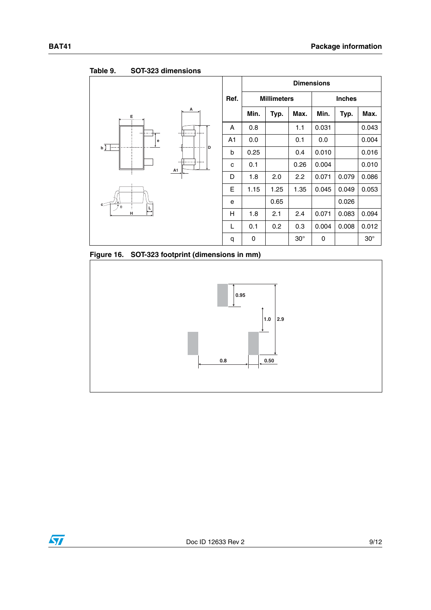### **Ref. Dimensions Millimeters Inches** Min. | Typ. | Max. | Min. | Typ. | Max.  $A \mid 0.8 \mid 1.1 \mid 0.031 \mid 0.043$ A1 0.0 0.1 0.0 0.004 b  $\vert$  0.25  $\vert$  0.4 0.010 0.016 c | 0.1 |  $\big|$  0.26 | 0.004 | | 0.010  $D$  1.8  $\vert$  2.0  $\vert$  2.2  $\vert$  0.071  $\vert$  0.079  $\vert$  0.086 E | 1.15 | 1.25 | 1.35 | 0.045 | 0.049 | 0.053 e 0.65 0.026  $H$  | 1.8 | 2.1 | 2.4 | 0.071 | 0.083 | 0.094 L 0.1 0.2 0.3 0.004 0.008 0.012 q 0 30° 0 30° **A1 A L H c**  $\frac{1}{2}$ **E D e** θ

#### Table 9. **Table 9. SOT-323 dimensions**





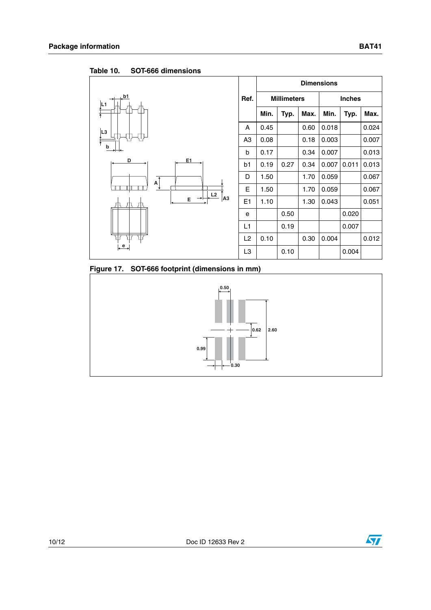

Table 10. SOT-666 dimensions

**Figure 17. SOT-666 footprint (dimensions in mm)**



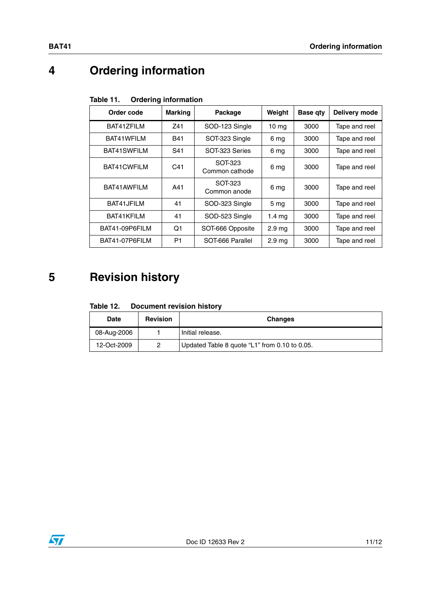# **4 Ordering information**

| Table 11. |  | <b>Ordering information</b> |
|-----------|--|-----------------------------|
|-----------|--|-----------------------------|

| Order code     | <b>Marking</b> | Package                   | Weight            | <b>Base gty</b> | Delivery mode |
|----------------|----------------|---------------------------|-------------------|-----------------|---------------|
| BAT417FILM     | Z41            | SOD-123 Single            | 10 <sub>mg</sub>  | 3000            | Tape and reel |
| BAT41WFILM     | <b>B41</b>     | SOT-323 Single            | 6 mg              | 3000            | Tape and reel |
| BAT41SWFILM    | S41            | SOT-323 Series            | 6 mg              | 3000            | Tape and reel |
| BAT41CWFILM    | C41            | SOT-323<br>Common cathode | 6 mg              | 3000            | Tape and reel |
| BAT41AWFILM    | A41            | SOT-323<br>Common anode   | 6 mg              | 3000            | Tape and reel |
| BAT41JFILM     | 41             | SOD-323 Single            | 5 <sub>mg</sub>   | 3000            | Tape and reel |
| BAT41KFILM     | 41             | SOD-523 Single            | 1.4 <sub>mg</sub> | 3000            | Tape and reel |
| BAT41-09P6FILM | O1             | SOT-666 Opposite          | 2.9 <sub>ma</sub> | 3000            | Tape and reel |
| BAT41-07P6FILM | P1             | SOT-666 Parallel          | 2.9 <sub>ma</sub> | 3000            | Tape and reel |

## **5 Revision history**

| Table 12. | <b>Document revision history</b> |  |
|-----------|----------------------------------|--|
|           |                                  |  |

| Date        | <b>Revision</b> | <b>Changes</b>                                |
|-------------|-----------------|-----------------------------------------------|
| 08-Aug-2006 |                 | Initial release.                              |
| 12-Oct-2009 | 0               | Updated Table 8 quote "L1" from 0.10 to 0.05. |